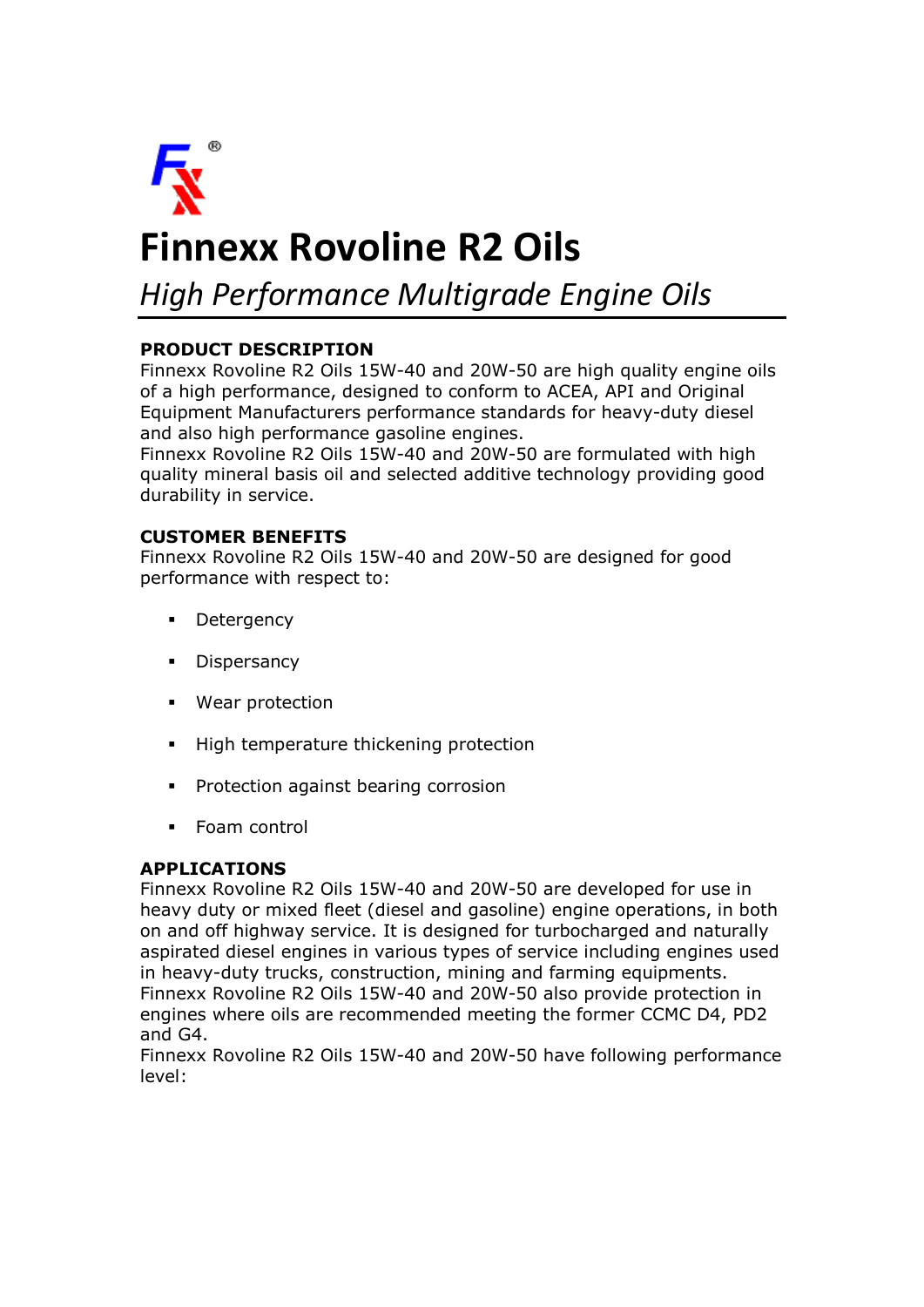

# **Finnexx Rovoline R2 Oils**

*High Performance Multigrade Engine Oils*

## **PRODUCT DESCRIPTION**

Finnexx Rovoline R2 Oils 15W-40 and 20W-50 are high quality engine oils of a high performance, designed to conform to ACEA, API and Original Equipment Manufacturers performance standards for heavy-duty diesel and also high performance gasoline engines.

Finnexx Rovoline R2 Oils 15W-40 and 20W-50 are formulated with high quality mineral basis oil and selected additive technology providing good durability in service.

## **CUSTOMER BENEFITS**

Finnexx Rovoline R2 Oils 15W-40 and 20W-50 are designed for good performance with respect to:

- **Detergency**
- **•** Dispersancy
- § Wear protection
- High temperature thickening protection
- **•** Protection against bearing corrosion
- § Foam control

#### **APPLICATIONS**

Finnexx Rovoline R2 Oils 15W-40 and 20W-50 are developed for use in heavy duty or mixed fleet (diesel and gasoline) engine operations, in both on and off highway service. It is designed for turbocharged and naturally aspirated diesel engines in various types of service including engines used in heavy-duty trucks, construction, mining and farming equipments. Finnexx Rovoline R2 Oils 15W-40 and 20W-50 also provide protection in engines where oils are recommended meeting the former CCMC D4, PD2 and G4.

Finnexx Rovoline R2 Oils 15W-40 and 20W-50 have following performance level: